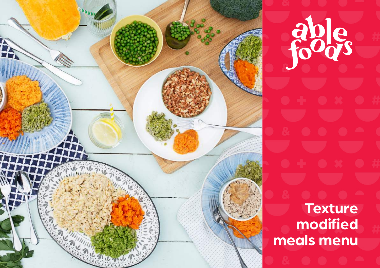

able **Texture modified [meals menu](http://www.kinela.com/store/?utm_source=menu&utm_medium=pdf&utm_campaign=kinela_menu)**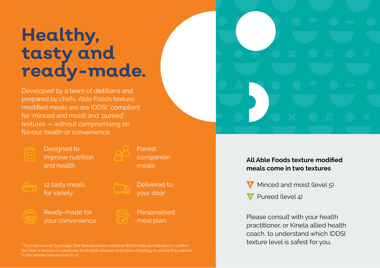# **Healthy, tasty and ready-made.**

Developed by a team of dietitians and prepared by chefs, Able Foods texture modified meals are are IDDSI\* compliant for 'minced and moist' and 'pureed' textures — without compromising on flavour, health or convenience.



Designed to improve nutrition and health

Paired companion meals



12 tasty meals for variety



Delivered to your door

Ready-made for your convenience



Personalised meal plan

the flow or texture of a particular food/drink product at the time of testing, to ensure they adhere to the labeled texture level (0-7).



#### **All Able Foods texture modified meals come in two textures**



Pureed (level 4)

Please consult with your health practitioner, or Kinela allied health coach, to understand which IDDSI texture level is safest for you.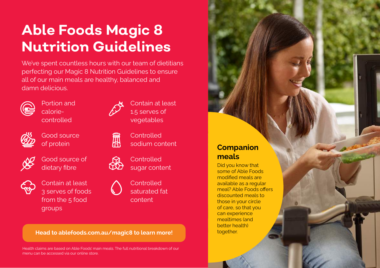# **Able Foods Magic 8 Nutrition Guidelines**

We've spent countless hours with our team of dietitians perfecting our Magic 8 Nutrition Guidelines to ensure all of our main meals are healthy, balanced and damn delicious.



Portion and caloriecontrolled



Good source of protein



Good source of dietary fibre



Contain at least 3 serves of foods from the 5 food groups



氚

Contain at least 1.5 serves of vegetables



**Controlled** sugar content

**Controlled** saturated fat content

#### **Head to ablefoods.com.au/magic8 to learn more!**

Health claims are based on Able Foods' main meals. The full nutritional breakdown of our menu can be accessed via our online store.

#### **Companion meals**

Did you know that some of Able Foods modified meals are available as a regular meal? Able Foods offers discounted meals to those in your circle of care, so that you can experience mealtimes (and better health) together.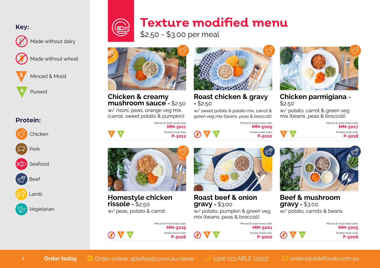**Key:**



Made without dairy



Made without wheat



Minced & Moist

**4** Pureed

#### **Protein:**



# **Texture modified menu**

\$2.50 - \$3.00 per meal



**Chicken & creamy mushroom sauce -** \$2.50

w/ risoni, peas, orange veg mix (carrot, sweet potato & pumpkin)

**5 4**

Minced & moist meal code: **MM-5011**  Pureed meal code: **P-5012** 



**Roast chicken & gravy -** \$2.50

w/ sweet potato & potato mix, carrot & green veg mix (beans, peas & broccoli)

> Minced & moist meal code: **MM-5009**

> Minced & moist meal code: **MM-5001** Pureed meal code: **P-5002**

**P-5010**

Pureed meal code: **5 4 5 4**



**Chicken parmigiana -** \$2.50

w/ potato, carrot & green veg mix (beans, peas & broccoli)

| Minced & moist meal code: |
|---------------------------|
| MM-5017                   |
| Pureed meal code:         |
| P-5018                    |



**Homestyle chicken rissole -** \$2.50 w/ peas, potato & carrot



**Roast beef & onion gravy -** \$3.00

w/ potato, pumpkin & green veg mix (beans, peas & broccoli)



**Beef & mushroom gravy -** \$3.00 w/ potato, carrots & beans

| Minced & moist meal code:<br><b>MM-5005</b> |  |
|---------------------------------------------|--|
| Pureed meal code:<br>P-5006                 |  |

Minced & moist meal code: **MM-5025** Pureed meal code: **P-5026**

**5 4 5 4 5 4**

4 **Order today** @ [Order online: ablefoods.com.au/store](http://ablefoods.com.au/store) 0 [1300 123 ABLE \(2253\)](tel:1300 123 2253) 2 [orders@ablefoods.com.au](mailto:?subject=)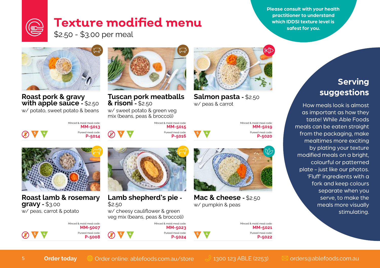**Please consult with your health practitioner to understand which IDDSI texture level is safest for you.**

# **Texture modified menu**

\$2.50 - \$3.00 per meal



### **Roast pork & gravy with apple sauce -** \$2.50

w/ potato, sweet potato & beans



**Tuscan pork meatballs & risoni -** \$2.50

w/ sweet potato & green veg mix (beans, peas & broccoli)



**Salmon pasta -** \$2.50 w/ peas & carrot

Minced & moist meal code: **MM-5019** Pureed meal code: **P-5020**





**Mac & cheese -** \$2.50 w/ pumpkin & peas



How meals look is almost as important as how they taste! While Able Foods meals can be eaten straight from the packaging, make mealtimes more exciting by plating your texture modified meals on a bright, colourful or patterned plate - just like our photos. 'Fluff' ingredients with a fork and keep colours separate when you serve, to make the meals more visually stimulating.



**Roast lamb & rosemary gravy -** \$3.00 w/ peas, carrot & potato



Minced & moist meal code: **MM-5013** Pureed meal code: **5 4 5 4**



**Lamb shepherd's pie -** \$2.50

w/ cheesy cauliflower & green veg mix (beans, peas & broccoli)



Minced & moist meal code: **MM-5015** Pureed meal code: **P-5016**





**5 4**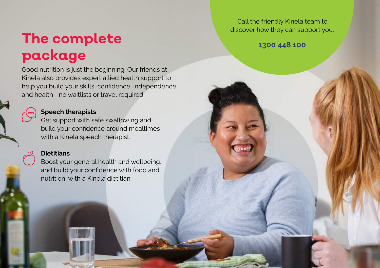# **The complete package**

Good nutrition is just the beginning. Our friends at Kinela also provides expert allied health support to help you build your skills, confidence, independence and health—no waitlists or travel required.

#### **Speech therapists**

Get support with safe swallowing and build your confidence around mealtimes with a Kinela speech therapist.

#### **Dietitians**

Boost your general health and wellbeing, and build your confidence with food and nutrition, with a Kinela dietitian.

Call the friendly Kinela team to discover how they can support you.

**[1300 448 100](tel:1300 448 100)**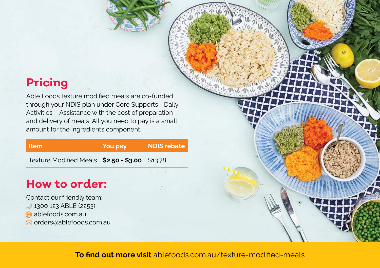## **Pricing**

Able Foods texture modified meals are co-funded through your NDIS plan under Core Supports - Daily Activities – Assistance with the cost of preparation and delivery of meals. All you need to pay is a small amount for the ingredients component.

| ∣ Item∶                                        | You pay | <b>NDIS rebate</b> |
|------------------------------------------------|---------|--------------------|
| Texture Modified Meals \$2.50 - \$3.00 \$13.78 |         |                    |

## **How to order:**

Contact our friendly team: 1300 123 ABLE (2253) **a** ablefoods.com.au  $⊠$  [orders@ablefoods.com.au](mailto:orders%40ablefoods.com.au?subject=)

**To find out more visit** [ablefoods.com.au/texture-modified-meals](http://ablefoods.com.au/texture-modified-meals)